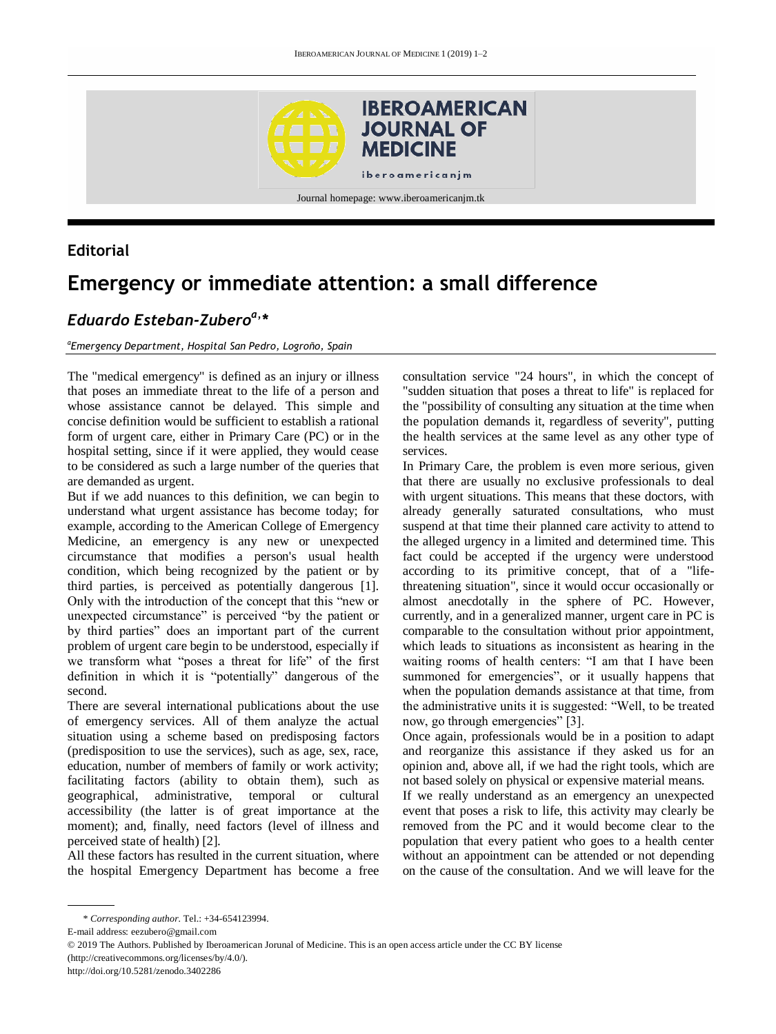

Journal homepage: www.iberoamericanjm.tk

### **Editorial**

# **Emergency or immediate attention: a small difference**

## *Eduardo Esteban-Zuberoa, \**

#### *a Emergency Department, Hospital San Pedro, Logroño, Spain*

The "medical emergency" is defined as an injury or illness that poses an immediate threat to the life of a person and whose assistance cannot be delayed. This simple and concise definition would be sufficient to establish a rational form of urgent care, either in Primary Care (PC) or in the hospital setting, since if it were applied, they would cease to be considered as such a large number of the queries that are demanded as urgent.

But if we add nuances to this definition, we can begin to understand what urgent assistance has become today; for example, according to the American College of Emergency Medicine, an emergency is any new or unexpected circumstance that modifies a person's usual health condition, which being recognized by the patient or by third parties, is perceived as potentially dangerous [1]. Only with the introduction of the concept that this "new or unexpected circumstance" is perceived "by the patient or by third parties" does an important part of the current problem of urgent care begin to be understood, especially if we transform what "poses a threat for life" of the first definition in which it is "potentially" dangerous of the second.

There are several international publications about the use of emergency services. All of them analyze the actual situation using a scheme based on predisposing factors (predisposition to use the services), such as age, sex, race, education, number of members of family or work activity; facilitating factors (ability to obtain them), such as geographical, administrative, temporal or cultural accessibility (the latter is of great importance at the moment); and, finally, need factors (level of illness and perceived state of health) [2].

All these factors has resulted in the current situation, where the hospital Emergency Department has become a free

consultation service "24 hours", in which the concept of "sudden situation that poses a threat to life" is replaced for the "possibility of consulting any situation at the time when the population demands it, regardless of severity", putting the health services at the same level as any other type of services.

In Primary Care, the problem is even more serious, given that there are usually no exclusive professionals to deal with urgent situations. This means that these doctors, with already generally saturated consultations, who must suspend at that time their planned care activity to attend to the alleged urgency in a limited and determined time. This fact could be accepted if the urgency were understood according to its primitive concept, that of a "lifethreatening situation", since it would occur occasionally or almost anecdotally in the sphere of PC. However, currently, and in a generalized manner, urgent care in PC is comparable to the consultation without prior appointment, which leads to situations as inconsistent as hearing in the waiting rooms of health centers: "I am that I have been summoned for emergencies", or it usually happens that when the population demands assistance at that time, from the administrative units it is suggested: "Well, to be treated now, go through emergencies" [3].

Once again, professionals would be in a position to adapt and reorganize this assistance if they asked us for an opinion and, above all, if we had the right tools, which are not based solely on physical or expensive material means.

If we really understand as an emergency an unexpected event that poses a risk to life, this activity may clearly be removed from the PC and it would become clear to the population that every patient who goes to a health center without an appointment can be attended or not depending on the cause of the consultation. And we will leave for the

E-mail address: eezubero@gmail.com

http://doi.org/10.5281/zenodo.3402286

<sup>\*</sup> *Corresponding author.* Tel.: +34-654123994.

<sup>© 2019</sup> The Authors. Published by Iberoamerican Jorunal of Medicine. This is an open access article under the CC BY license (http://creativecommons.org/licenses/by/4.0/).